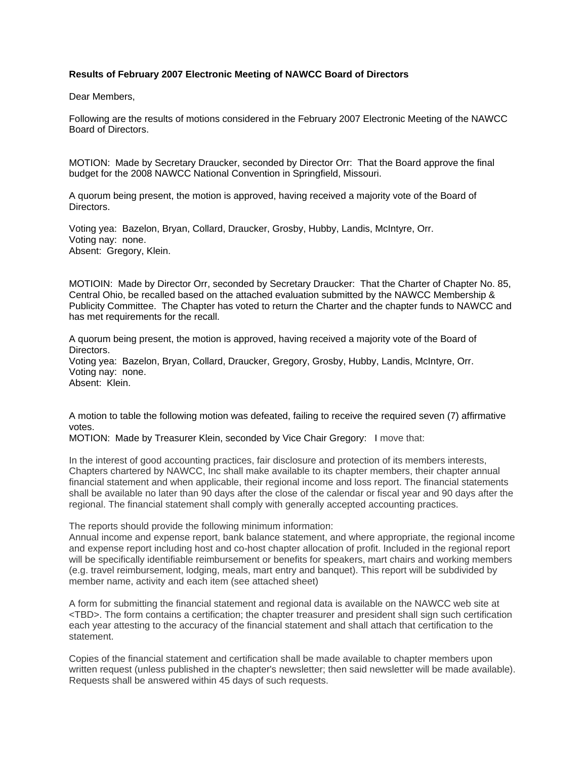## **Results of February 2007 Electronic Meeting of NAWCC Board of Directors**

Dear Members,

Following are the results of motions considered in the February 2007 Electronic Meeting of the NAWCC Board of Directors.

MOTION: Made by Secretary Draucker, seconded by Director Orr: That the Board approve the final budget for the 2008 NAWCC National Convention in Springfield, Missouri.

A quorum being present, the motion is approved, having received a majority vote of the Board of Directors.

Voting yea: Bazelon, Bryan, Collard, Draucker, Grosby, Hubby, Landis, McIntyre, Orr. Voting nay: none. Absent: Gregory, Klein.

MOTIOIN: Made by Director Orr, seconded by Secretary Draucker: That the Charter of Chapter No. 85, Central Ohio, be recalled based on the attached evaluation submitted by the NAWCC Membership & Publicity Committee. The Chapter has voted to return the Charter and the chapter funds to NAWCC and has met requirements for the recall.

A quorum being present, the motion is approved, having received a majority vote of the Board of Directors. Voting yea: Bazelon, Bryan, Collard, Draucker, Gregory, Grosby, Hubby, Landis, McIntyre, Orr.

Voting nay: none. Absent: Klein.

A motion to table the following motion was defeated, failing to receive the required seven (7) affirmative votes.

MOTION: Made by Treasurer Klein, seconded by Vice Chair Gregory: I move that:

In the interest of good accounting practices, fair disclosure and protection of its members interests, Chapters chartered by NAWCC, Inc shall make available to its chapter members, their chapter annual financial statement and when applicable, their regional income and loss report. The financial statements shall be available no later than 90 days after the close of the calendar or fiscal year and 90 days after the regional. The financial statement shall comply with generally accepted accounting practices.

The reports should provide the following minimum information:

Annual income and expense report, bank balance statement, and where appropriate, the regional income and expense report including host and co-host chapter allocation of profit. Included in the regional report will be specifically identifiable reimbursement or benefits for speakers, mart chairs and working members (e.g. travel reimbursement, lodging, meals, mart entry and banquet). This report will be subdivided by member name, activity and each item (see attached sheet)

A form for submitting the financial statement and regional data is available on the NAWCC web site at <TBD>. The form contains a certification; the chapter treasurer and president shall sign such certification each year attesting to the accuracy of the financial statement and shall attach that certification to the statement.

Copies of the financial statement and certification shall be made available to chapter members upon written request (unless published in the chapter's newsletter; then said newsletter will be made available). Requests shall be answered within 45 days of such requests.